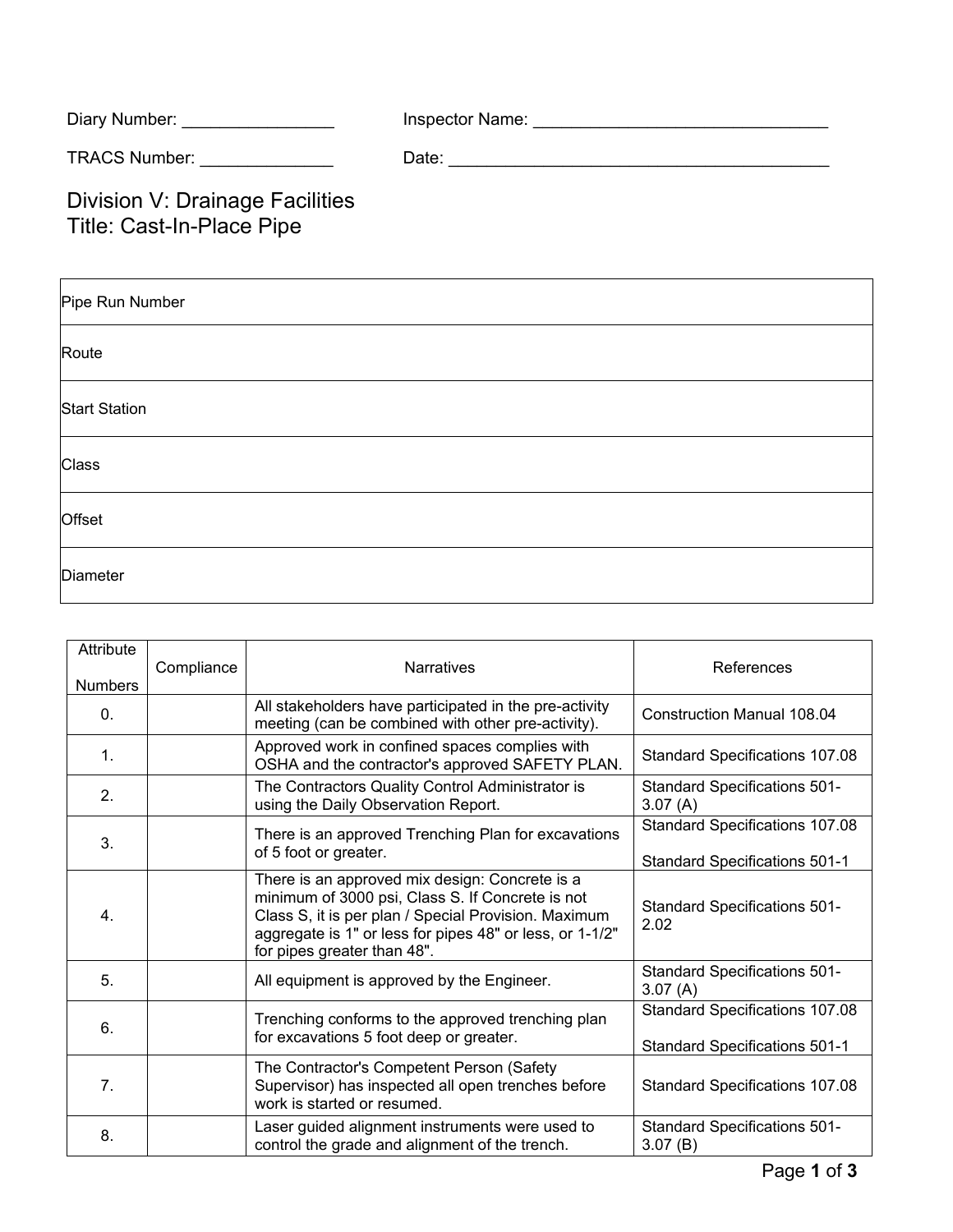| Diary Number:        | Inspector Name: |
|----------------------|-----------------|
| <b>TRACS Number:</b> | Date:           |

Division V: Drainage Facilities Title: Cast-In-Place Pipe

| Pipe Run Number      |
|----------------------|
| Route                |
| <b>Start Station</b> |
| Class                |
| Offset               |
| Diameter             |

| Attribute<br><b>Numbers</b> | Compliance | <b>Narratives</b>                                                                                                                                                                                                                                     | References                                                                    |
|-----------------------------|------------|-------------------------------------------------------------------------------------------------------------------------------------------------------------------------------------------------------------------------------------------------------|-------------------------------------------------------------------------------|
| $\mathbf{0}$ .              |            | All stakeholders have participated in the pre-activity<br>meeting (can be combined with other pre-activity).                                                                                                                                          | <b>Construction Manual 108.04</b>                                             |
| 1.                          |            | Approved work in confined spaces complies with<br>OSHA and the contractor's approved SAFETY PLAN.                                                                                                                                                     | Standard Specifications 107.08                                                |
| 2.                          |            | The Contractors Quality Control Administrator is<br>using the Daily Observation Report.                                                                                                                                                               | <b>Standard Specifications 501-</b><br>3.07(A)                                |
| 3.                          |            | There is an approved Trenching Plan for excavations<br>of 5 foot or greater.                                                                                                                                                                          | Standard Specifications 107.08<br><b>Standard Specifications 501-1</b>        |
| 4.                          |            | There is an approved mix design: Concrete is a<br>minimum of 3000 psi, Class S. If Concrete is not<br>Class S, it is per plan / Special Provision. Maximum<br>aggregate is 1" or less for pipes 48" or less, or 1-1/2"<br>for pipes greater than 48". | <b>Standard Specifications 501-</b><br>2.02                                   |
| 5.                          |            | All equipment is approved by the Engineer.                                                                                                                                                                                                            | <b>Standard Specifications 501-</b><br>3.07(A)                                |
| 6.                          |            | Trenching conforms to the approved trenching plan<br>for excavations 5 foot deep or greater.                                                                                                                                                          | <b>Standard Specifications 107.08</b><br><b>Standard Specifications 501-1</b> |
| 7.                          |            | The Contractor's Competent Person (Safety<br>Supervisor) has inspected all open trenches before<br>work is started or resumed.                                                                                                                        | <b>Standard Specifications 107.08</b>                                         |
| 8.                          |            | Laser guided alignment instruments were used to<br>control the grade and alignment of the trench.                                                                                                                                                     | <b>Standard Specifications 501-</b><br>3.07(B)                                |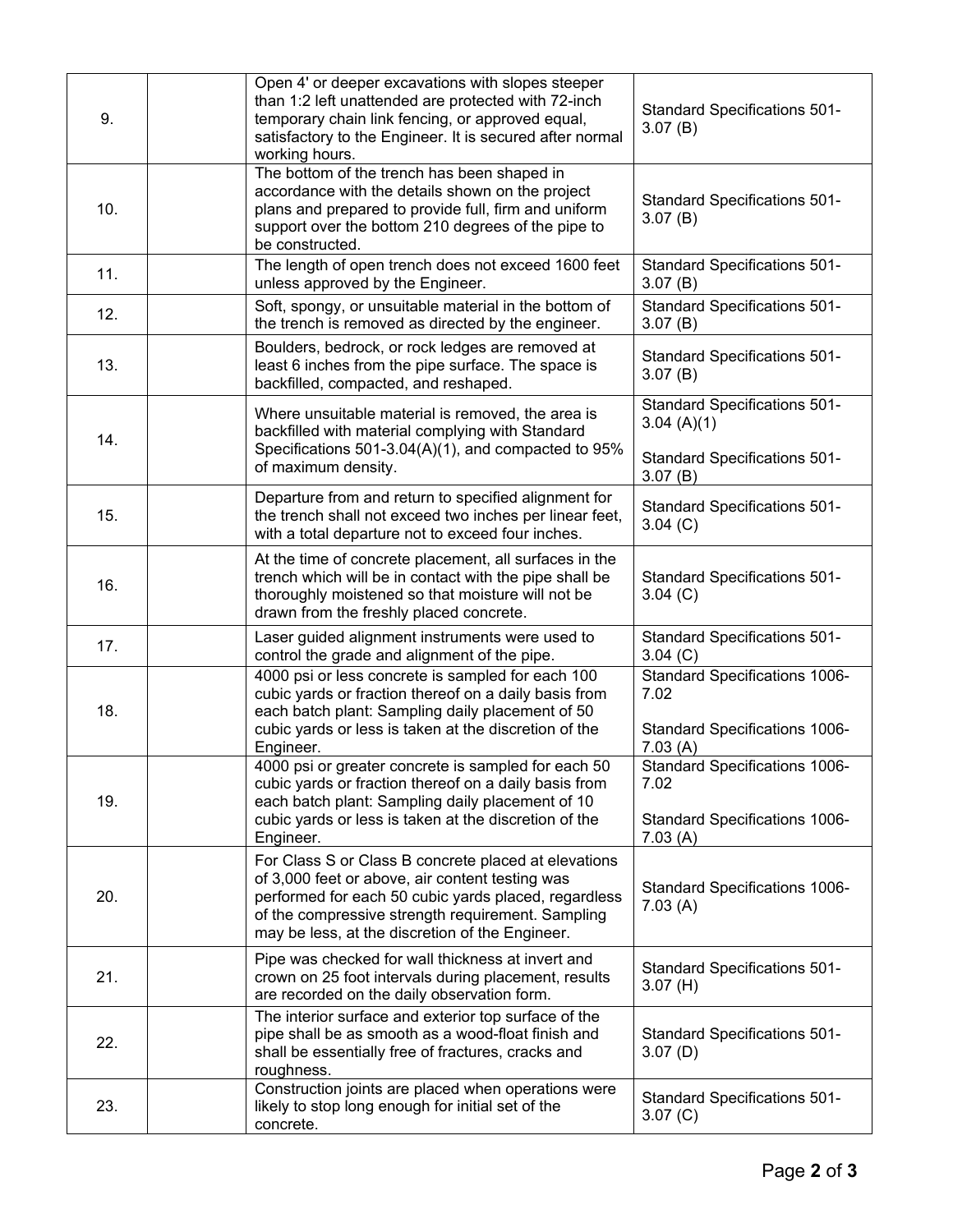| 9.  | Open 4' or deeper excavations with slopes steeper<br>than 1:2 left unattended are protected with 72-inch<br>temporary chain link fencing, or approved equal,<br>satisfactory to the Engineer. It is secured after normal<br>working hours.                              | <b>Standard Specifications 501-</b><br>3.07(B)                                                  |
|-----|-------------------------------------------------------------------------------------------------------------------------------------------------------------------------------------------------------------------------------------------------------------------------|-------------------------------------------------------------------------------------------------|
| 10. | The bottom of the trench has been shaped in<br>accordance with the details shown on the project<br>plans and prepared to provide full, firm and uniform<br>support over the bottom 210 degrees of the pipe to<br>be constructed.                                        | <b>Standard Specifications 501-</b><br>3.07(B)                                                  |
| 11. | The length of open trench does not exceed 1600 feet<br>unless approved by the Engineer.                                                                                                                                                                                 | <b>Standard Specifications 501-</b><br>3.07(B)                                                  |
| 12. | Soft, spongy, or unsuitable material in the bottom of<br>the trench is removed as directed by the engineer.                                                                                                                                                             | <b>Standard Specifications 501-</b><br>3.07(B)                                                  |
| 13. | Boulders, bedrock, or rock ledges are removed at<br>least 6 inches from the pipe surface. The space is<br>backfilled, compacted, and reshaped.                                                                                                                          | <b>Standard Specifications 501-</b><br>3.07(B)                                                  |
| 14. | Where unsuitable material is removed, the area is<br>backfilled with material complying with Standard<br>Specifications 501-3.04(A)(1), and compacted to 95%                                                                                                            | <b>Standard Specifications 501-</b><br>3.04(A)(1)                                               |
|     | of maximum density.                                                                                                                                                                                                                                                     | <b>Standard Specifications 501-</b><br>3.07(B)                                                  |
| 15. | Departure from and return to specified alignment for<br>the trench shall not exceed two inches per linear feet,<br>with a total departure not to exceed four inches.                                                                                                    | <b>Standard Specifications 501-</b><br>3.04 (C)                                                 |
| 16. | At the time of concrete placement, all surfaces in the<br>trench which will be in contact with the pipe shall be<br>thoroughly moistened so that moisture will not be<br>drawn from the freshly placed concrete.                                                        | <b>Standard Specifications 501-</b><br>$3.04$ (C)                                               |
| 17. | Laser guided alignment instruments were used to<br>control the grade and alignment of the pipe.                                                                                                                                                                         | <b>Standard Specifications 501-</b><br>3.04 (C)                                                 |
| 18. | 4000 psi or less concrete is sampled for each 100<br>cubic yards or fraction thereof on a daily basis from<br>each batch plant: Sampling daily placement of 50<br>cubic yards or less is taken at the discretion of the<br>Engineer.                                    | <b>Standard Specifications 1006-</b><br>7.02<br>Standard Specifications 1006-<br>7.03(A)        |
| 19. | 4000 psi or greater concrete is sampled for each 50<br>cubic yards or fraction thereof on a daily basis from<br>each batch plant: Sampling daily placement of 10<br>cubic yards or less is taken at the discretion of the<br>Engineer.                                  | <b>Standard Specifications 1006-</b><br>7.02<br><b>Standard Specifications 1006-</b><br>7.03(A) |
| 20. | For Class S or Class B concrete placed at elevations<br>of 3,000 feet or above, air content testing was<br>performed for each 50 cubic yards placed, regardless<br>of the compressive strength requirement. Sampling<br>may be less, at the discretion of the Engineer. | <b>Standard Specifications 1006-</b><br>7.03(A)                                                 |
| 21. | Pipe was checked for wall thickness at invert and<br>crown on 25 foot intervals during placement, results<br>are recorded on the daily observation form.                                                                                                                | <b>Standard Specifications 501-</b><br>3.07(H)                                                  |
| 22. | The interior surface and exterior top surface of the<br>pipe shall be as smooth as a wood-float finish and<br>shall be essentially free of fractures, cracks and<br>roughness.                                                                                          | <b>Standard Specifications 501-</b><br>3.07(D)                                                  |
| 23. | Construction joints are placed when operations were<br>likely to stop long enough for initial set of the<br>concrete.                                                                                                                                                   | <b>Standard Specifications 501-</b><br>3.07 (C)                                                 |